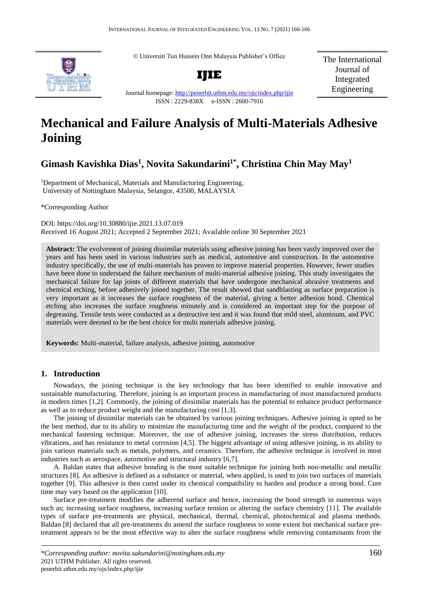© Universiti Tun Hussein Onn Malaysia Publisher's Office



**IJIE**

The International Journal of Integrated Engineering

Journal homepage:<http://penerbit.uthm.edu.my/ojs/index.php/ijie> ISSN : 2229-838X e-ISSN : 2600-7916

# **Mechanical and Failure Analysis of Multi-Materials Adhesive Joining**

# **Gimash Kavishka Dias<sup>1</sup> , Novita Sakundarini1\* , Christina Chin May May<sup>1</sup>**

<sup>1</sup>Department of Mechanical, Materials and Manufacturing Engineering, University of Nottingham Malaysia, Selangor, 43500, MALAYSIA

\*Corresponding Author

DOI: https://doi.org/10.30880/ijie.2021.13.07.019 Received 16 August 2021; Accepted 2 September 2021; Available online 30 September 2021

**Abstract:** The evolvement of joining dissimilar materials using adhesive joining has been vastly improved over the years and has been used in various industries such as medical, automotive and construction. In the automotive industry specifically, the use of multi-materials has proven to improve material properties. However, fewer studies have been done to understand the failure mechanism of multi-material adhesive joining. This study investigates the mechanical failure for lap joints of different materials that have undergone mechanical abrasive treatments and chemical etching, before adhesively joined together. The result showed that sandblasting as surface preparation is very important as it increases the surface roughness of the material, giving a better adhesion bond. Chemical etching also increases the surface roughness minutely and is considered an important step for the purpose of degreasing. Tensile tests were conducted as a destructive test and it was found that mild steel, aluminum, and PVC materials were deemed to be the best choice for multi materials adhesive joining.

**Keywords:** Multi-material, failure analysis, adhesive joining, automotive

### **1. Introduction**

Nowadays, the joining technique is the key technology that has been identified to enable innovative and sustainable manufacturing. Therefore, joining is an important process in manufacturing of most manufactured products in modern times [1,2]. Commonly, the joining of dissimilar materials has the potential to enhance product performance as well as to reduce product weight and the manufacturing cost [1,3].

The joining of dissimilar materials can be obtained by various joining techniques. Adhesive joining is opted to be the best method, due to its ability to minimize the manufacturing time and the weight of the product, compared to the mechanical fastening technique. Moreover, the use of adhesive joining, increases the stress distribution, reduces vibrations, and has resistance to metal corrosion [4,5]. The biggest advantage of using adhesive joining, is its ability to join various materials such as metals, polymers, and ceramics. Therefore, the adhesive technique is involved in most industries such as aerospace, automotive and structural industry [6,7].

A. Baldan states that adhesive bonding is the most suitable technique for joining both non-metallic and metallic structures [8]. An adhesive is defined as a substance or material, when applied, is used to join two surfaces of materials together [9]. This adhesive is then cured under its chemical compatibility to harden and produce a strong bond. Cure time may vary based on the application [10].

Surface pre-treatment modifies the adherend surface and hence, increasing the bond strength in numerous ways such as; increasing surface roughness, increasing surface tension or altering the surface chemistry [11]. The available types of surface pre-treatments are physical, mechanical, thermal, chemical, photochemical and plasma methods. Baldan [8] declared that all pre-treatments do amend the surface roughness to some extent but mechanical surface pretreatment appears to be the most effective way to alter the surface roughness while removing contaminants from the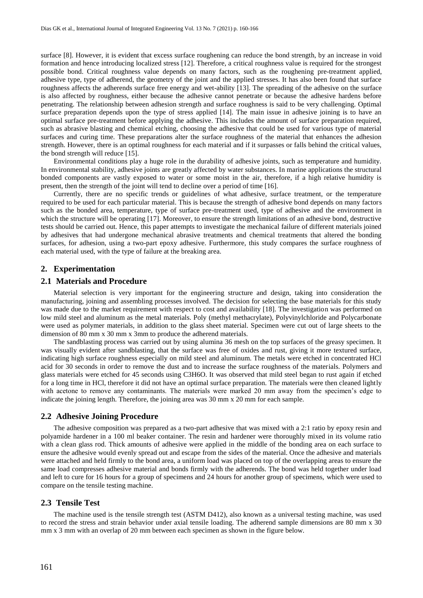surface [8]. However, it is evident that excess surface roughening can reduce the bond strength, by an increase in void formation and hence introducing localized stress [12]. Therefore, a critical roughness value is required for the strongest possible bond. Critical roughness value depends on many factors, such as the roughening pre-treatment applied, adhesive type, type of adherend, the geometry of the joint and the applied stresses. It has also been found that surface roughness affects the adherends surface free energy and wet-ability [13]. The spreading of the adhesive on the surface is also affected by roughness, either because the adhesive cannot penetrate or because the adhesive hardens before penetrating. The relationship between adhesion strength and surface roughness is said to be very challenging. Optimal surface preparation depends upon the type of stress applied [14]. The main issue in adhesive joining is to have an optimal surface pre-treatment before applying the adhesive. This includes the amount of surface preparation required, such as abrasive blasting and chemical etching, choosing the adhesive that could be used for various type of material surfaces and curing time. These preparations alter the surface roughness of the material that enhances the adhesion strength. However, there is an optimal roughness for each material and if it surpasses or falls behind the critical values, the bond strength will reduce [15].

Environmental conditions play a huge role in the durability of adhesive joints, such as temperature and humidity. In environmental stability, adhesive joints are greatly affected by water substances. In marine applications the structural bonded components are vastly exposed to water or some moist in the air, therefore, if a high relative humidity is present, then the strength of the joint will tend to decline over a period of time [16].

Currently, there are no specific trends or guidelines of what adhesive, surface treatment, or the temperature required to be used for each particular material. This is because the strength of adhesive bond depends on many factors such as the bonded area, temperature, type of surface pre-treatment used, type of adhesive and the environment in which the structure will be operating [17]. Moreover, to ensure the strength limitations of an adhesive bond, destructive tests should be carried out. Hence, this paper attempts to investigate the mechanical failure of different materials joined by adhesives that had undergone mechanical abrasive treatments and chemical treatments that altered the bonding surfaces, for adhesion, using a two-part epoxy adhesive. Furthermore, this study compares the surface roughness of each material used, with the type of failure at the breaking area.

#### **2. Experimentation**

#### **2.1 Materials and Procedure**

Material selection is very important for the engineering structure and design, taking into consideration the manufacturing, joining and assembling processes involved. The decision for selecting the base materials for this study was made due to the market requirement with respect to cost and availability [18]. The investigation was performed on low mild steel and aluminum as the metal materials. Poly (methyl methacrylate), Polyvinylchloride and Polycarbonate were used as polymer materials, in addition to the glass sheet material. Specimen were cut out of large sheets to the dimension of 80 mm x 30 mm x 3mm to produce the adherend materials.

The sandblasting process was carried out by using alumina 36 mesh on the top surfaces of the greasy specimen. It was visually evident after sandblasting, that the surface was free of oxides and rust, giving it more textured surface, indicating high surface roughness especially on mild steel and aluminum. The metals were etched in concentrated HCl acid for 30 seconds in order to remove the dust and to increase the surface roughness of the materials. Polymers and glass materials were etched for 45 seconds using C3H6O. It was observed that mild steel began to rust again if etched for a long time in HCl, therefore it did not have an optimal surface preparation. The materials were then cleaned lightly with acetone to remove any contaminants. The materials were marked 20 mm away from the specimen's edge to indicate the joining length. Therefore, the joining area was 30 mm x 20 mm for each sample.

### **2.2 Adhesive Joining Procedure**

The adhesive composition was prepared as a two-part adhesive that was mixed with a 2:1 ratio by epoxy resin and polyamide hardener in a 100 ml beaker container. The resin and hardener were thoroughly mixed in its volume ratio with a clean glass rod. Thick amounts of adhesive were applied in the middle of the bonding area on each surface to ensure the adhesive would evenly spread out and escape from the sides of the material. Once the adhesive and materials were attached and held firmly to the bond area, a uniform load was placed on top of the overlapping areas to ensure the same load compresses adhesive material and bonds firmly with the adherends. The bond was held together under load and left to cure for 16 hours for a group of specimens and 24 hours for another group of specimens, which were used to compare on the tensile testing machine.

#### **2.3 Tensile Test**

The machine used is the tensile strength test (ASTM D412), also known as a universal testing machine, was used to record the stress and strain behavior under axial tensile loading. The adherend sample dimensions are 80 mm x 30 mm x 3 mm with an overlap of 20 mm between each specimen as shown in the figure below.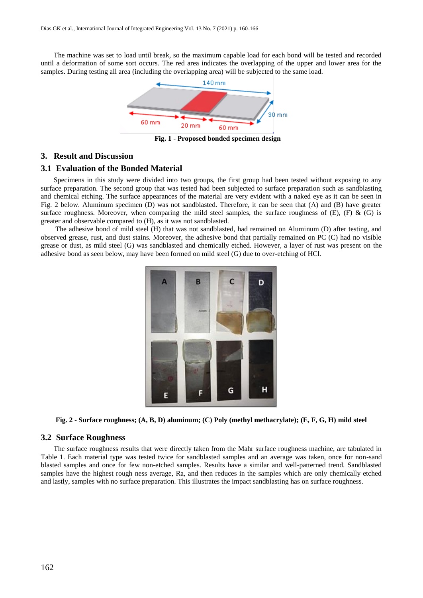The machine was set to load until break, so the maximum capable load for each bond will be tested and recorded until a deformation of some sort occurs. The red area indicates the overlapping of the upper and lower area for the samples. During testing all area (including the overlapping area) will be subjected to the same load.



**Fig. 1 - Proposed bonded specimen design**

#### **3. Result and Discussion**

#### **3.1 Evaluation of the Bonded Material**

Specimens in this study were divided into two groups, the first group had been tested without exposing to any surface preparation. The second group that was tested had been subjected to surface preparation such as sandblasting and chemical etching. The surface appearances of the material are very evident with a naked eye as it can be seen in Fig. 2 below. Aluminum specimen (D) was not sandblasted. Therefore, it can be seen that (A) and (B) have greater surface roughness. Moreover, when comparing the mild steel samples, the surface roughness of  $(E)$ ,  $(F)$  &  $(G)$  is greater and observable compared to (H), as it was not sandblasted.

The adhesive bond of mild steel (H) that was not sandblasted, had remained on Aluminum (D) after testing, and observed grease, rust, and dust stains. Moreover, the adhesive bond that partially remained on PC (C) had no visible grease or dust, as mild steel (G) was sandblasted and chemically etched. However, a layer of rust was present on the adhesive bond as seen below, may have been formed on mild steel (G) due to over-etching of HCl.



**Fig. 2 - Surface roughness; (A, B, D) aluminum; (C) Poly (methyl methacrylate); (E, F, G, H) mild steel**

#### **3.2 Surface Roughness**

The surface roughness results that were directly taken from the Mahr surface roughness machine, are tabulated in Table 1. Each material type was tested twice for sandblasted samples and an average was taken, once for non-sand blasted samples and once for few non-etched samples. Results have a similar and well-patterned trend. Sandblasted samples have the highest rough ness average, Ra, and then reduces in the samples which are only chemically etched and lastly, samples with no surface preparation. This illustrates the impact sandblasting has on surface roughness.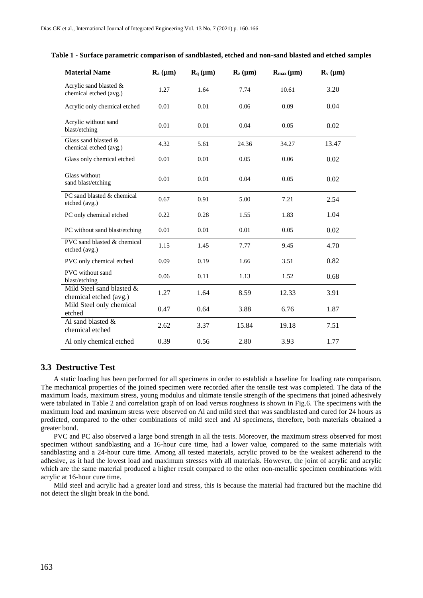| <b>Material Name</b>                                | $R_a(\mu m)$ | $\mathbf{R}_{q}$ ( $\mu$ m) | $\mathbf{R}_{z}$ ( $\mu$ m) | $R_{\text{max}}(\mu m)$ | $\mathbf{R}_{\mathbf{v}}$ ( $\mu$ m) |
|-----------------------------------------------------|--------------|-----------------------------|-----------------------------|-------------------------|--------------------------------------|
| Acrylic sand blasted &<br>chemical etched (avg.)    | 1.27         | 1.64                        | 7.74                        | 10.61                   | 3.20                                 |
| Acrylic only chemical etched                        | 0.01         | 0.01                        | 0.06                        | 0.09                    | 0.04                                 |
| Acrylic without sand<br>blast/etching               | 0.01         | 0.01                        | 0.04                        | 0.05                    | 0.02                                 |
| Glass sand blasted &<br>chemical etched (avg.)      | 4.32         | 5.61                        | 24.36                       | 34.27                   | 13.47                                |
| Glass only chemical etched                          | 0.01         | 0.01                        | 0.05                        | 0.06                    | 0.02                                 |
| Glass without<br>sand blast/etching                 | 0.01         | 0.01                        | 0.04                        | 0.05                    | 0.02                                 |
| PC sand blasted & chemical<br>etched (avg.)         | 0.67         | 0.91                        | 5.00                        | 7.21                    | 2.54                                 |
| PC only chemical etched                             | 0.22         | 0.28                        | 1.55                        | 1.83                    | 1.04                                 |
| PC without sand blast/etching                       | 0.01         | 0.01                        | 0.01                        | 0.05                    | 0.02                                 |
| PVC sand blasted & chemical<br>etched (avg.)        | 1.15         | 1.45                        | 7.77                        | 9.45                    | 4.70                                 |
| PVC only chemical etched                            | 0.09         | 0.19                        | 1.66                        | 3.51                    | 0.82                                 |
| <b>PVC</b> without sand<br>blast/etching            | 0.06         | 0.11                        | 1.13                        | 1.52                    | 0.68                                 |
| Mild Steel sand blasted &<br>chemical etched (avg.) | 1.27         | 1.64                        | 8.59                        | 12.33                   | 3.91                                 |
| Mild Steel only chemical<br>etched                  | 0.47         | 0.64                        | 3.88                        | 6.76                    | 1.87                                 |
| Al sand blasted &<br>chemical etched                | 2.62         | 3.37                        | 15.84                       | 19.18                   | 7.51                                 |
| Al only chemical etched                             | 0.39         | 0.56                        | 2.80                        | 3.93                    | 1.77                                 |

|  | Table 1 - Surface parametric comparison of sandblasted, etched and non-sand blasted and etched samples |  |
|--|--------------------------------------------------------------------------------------------------------|--|
|  |                                                                                                        |  |

#### **3.3 Destructive Test**

A static loading has been performed for all specimens in order to establish a baseline for loading rate comparison. The mechanical properties of the joined specimen were recorded after the tensile test was completed. The data of the maximum loads, maximum stress, young modulus and ultimate tensile strength of the specimens that joined adhesively were tabulated in Table 2 and correlation graph of on load versus roughness is shown in Fig.6. The specimens with the maximum load and maximum stress were observed on Al and mild steel that was sandblasted and cured for 24 hours as predicted, compared to the other combinations of mild steel and Al specimens, therefore, both materials obtained a greater bond.

PVC and PC also observed a large bond strength in all the tests. Moreover, the maximum stress observed for most specimen without sandblasting and a 16-hour cure time, had a lower value, compared to the same materials with sandblasting and a 24-hour cure time. Among all tested materials, acrylic proved to be the weakest adherend to the adhesive, as it had the lowest load and maximum stresses with all materials. However, the joint of acrylic and acrylic which are the same material produced a higher result compared to the other non-metallic specimen combinations with acrylic at 16-hour cure time.

Mild steel and acrylic had a greater load and stress, this is because the material had fractured but the machine did not detect the slight break in the bond.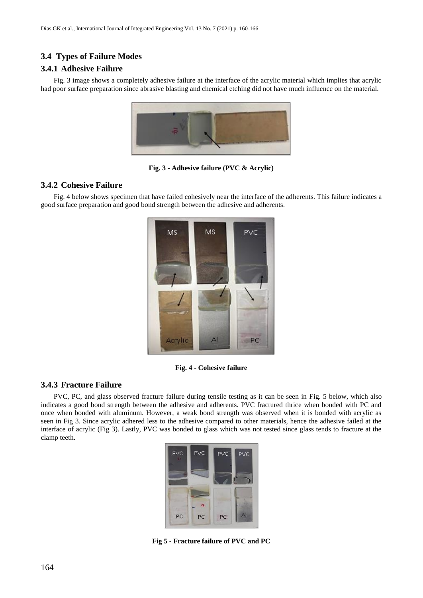# **3.4 Types of Failure Modes**

# **3.4.1 Adhesive Failure**

Fig. 3 image shows a completely adhesive failure at the interface of the acrylic material which implies that acrylic had poor surface preparation since abrasive blasting and chemical etching did not have much influence on the material.



**Fig. 3 - Adhesive failure (PVC & Acrylic)**

# **3.4.2 Cohesive Failure**

Fig. 4 below shows specimen that have failed cohesively near the interface of the adherents. This failure indicates a good surface preparation and good bond strength between the adhesive and adherents.



**Fig. 4 - Cohesive failure**

# **3.4.3 Fracture Failure**

PVC, PC, and glass observed fracture failure during tensile testing as it can be seen in Fig. 5 below, which also indicates a good bond strength between the adhesive and adherents. PVC fractured thrice when bonded with PC and once when bonded with aluminum. However, a weak bond strength was observed when it is bonded with acrylic as seen in Fig 3. Since acrylic adhered less to the adhesive compared to other materials, hence the adhesive failed at the interface of acrylic (Fig 3). Lastly, PVC was bonded to glass which was not tested since glass tends to fracture at the clamp teeth.

| PVC | <b>PVC</b> | PVC | <b>PVC</b>   |
|-----|------------|-----|--------------|
|     |            |     |              |
|     |            |     |              |
|     | 18         |     |              |
| PC. | PC         | PC  | $\mathbb{A}$ |

**Fig 5 - Fracture failure of PVC and PC**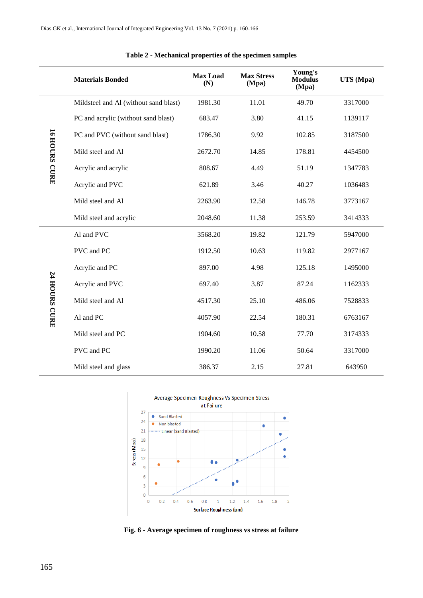|                      | <b>Materials Bonded</b>               | <b>Max Load</b><br>(N) | <b>Max Stress</b><br>(Mpa) | Young's<br><b>Modulus</b><br>(Mpa) | UTS (Mpa) |
|----------------------|---------------------------------------|------------------------|----------------------------|------------------------------------|-----------|
| <b>IS HOURS CURE</b> | Mildsteel and Al (without sand blast) | 1981.30                | 11.01                      | 49.70                              | 3317000   |
|                      | PC and acrylic (without sand blast)   | 683.47                 | 3.80                       | 41.15                              | 1139117   |
|                      | PC and PVC (without sand blast)       | 1786.30                | 9.92                       | 102.85                             | 3187500   |
|                      | Mild steel and Al                     | 2672.70                | 14.85                      | 178.81                             | 4454500   |
|                      | Acrylic and acrylic                   | 808.67                 | 4.49                       | 51.19                              | 1347783   |
|                      | Acrylic and PVC                       | 621.89                 | 3.46                       | 40.27                              | 1036483   |
|                      | Mild steel and Al                     | 2263.90                | 12.58                      | 146.78                             | 3773167   |
|                      | Mild steel and acrylic                | 2048.60                | 11.38                      | 253.59                             | 3414333   |
| <b>TA HOURS CURE</b> | Al and PVC                            | 3568.20                | 19.82                      | 121.79                             | 5947000   |
|                      | PVC and PC                            | 1912.50                | 10.63                      | 119.82                             | 2977167   |
|                      | Acrylic and PC                        | 897.00                 | 4.98                       | 125.18                             | 1495000   |
|                      | Acrylic and PVC                       | 697.40                 | 3.87                       | 87.24                              | 1162333   |
|                      | Mild steel and Al                     | 4517.30                | 25.10                      | 486.06                             | 7528833   |
|                      | Al and PC                             | 4057.90                | 22.54                      | 180.31                             | 6763167   |
|                      | Mild steel and PC                     | 1904.60                | 10.58                      | 77.70                              | 3174333   |
|                      | PVC and PC                            | 1990.20                | 11.06                      | 50.64                              | 3317000   |
|                      | Mild steel and glass                  | 386.37                 | 2.15                       | 27.81                              | 643950    |

| Table 2 - Mechanical properties of the specimen samples |  |  |  |
|---------------------------------------------------------|--|--|--|
|---------------------------------------------------------|--|--|--|



**Fig. 6 - Average specimen of roughness vs stress at failure**